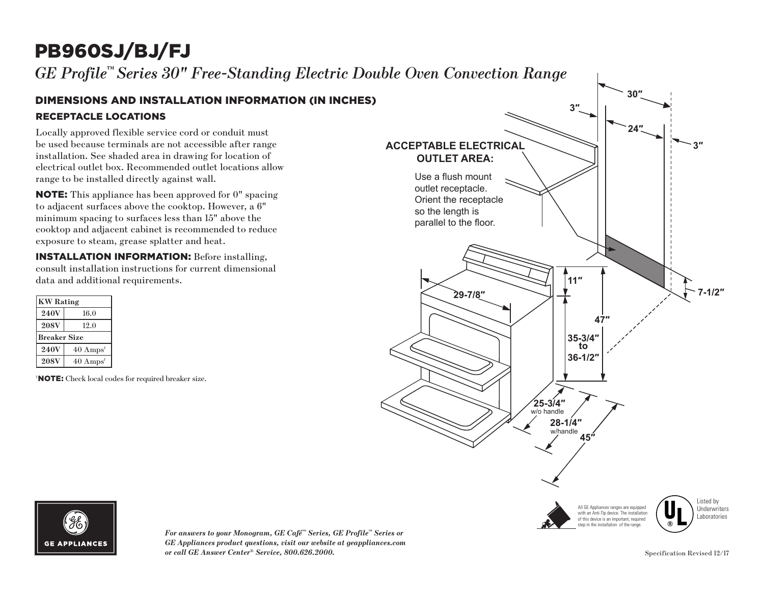## PB960SJ/BJ/FJ

*GE Profile™ Series 30" Free-Standing Electric Double Oven Convection Range*

## RECEPTACLE LOCATIONS DIMENSIONS AND INSTALLATION INFORMATION (IN INCHES)

Locally approved flexible service cord or conduit must be used because terminals are not accessible after range installation. See shaded area in drawing for location of electrical outlet box. Recommended outlet locations allow range to be installed directly against wall.

NOTE: This appliance has been approved for 0" spacing to adjacent surfaces above the cooktop. However, a 6" minimum spacing to surfaces less than 15" above the cooktop and adjacent cabinet is recommended to reduce exposure to steam, grease splatter and heat.

INSTALLATION INFORMATION: Before installing, consult installation instructions for current dimensional data and additional requirements.

| <b>KW</b> Rating            |  |
|-----------------------------|--|
| 16.0                        |  |
| 12.0                        |  |
| <b>Breaker Size</b>         |  |
| $40 \text{ Amps}^{\dagger}$ |  |
| $40 \text{ Amps}^{\dagger}$ |  |
|                             |  |

† NOTE: Check local codes for required breaker size.





*For answers to your Monogram, GE Café™ Series, GE Profile™ Series or GE Appliances product questions, visit our website at geappliances.com or call GE Answer Center® Service, 800.626.2000.*